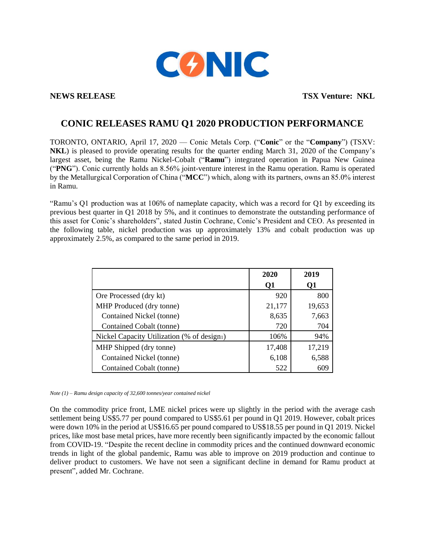

**NEWS RELEASE TSX Venture: NKL** 

## **CONIC RELEASES RAMU Q1 2020 PRODUCTION PERFORMANCE**

TORONTO, ONTARIO, April 17, 2020 — Conic Metals Corp. ("**Conic**" or the "**Company**") (TSXV: **NKL**) is pleased to provide operating results for the quarter ending March 31, 2020 of the Company's largest asset, being the Ramu Nickel-Cobalt ("**Ramu**") integrated operation in Papua New Guinea ("**PNG**"). Conic currently holds an 8.56% joint-venture interest in the Ramu operation. Ramu is operated by the Metallurgical Corporation of China ("**MCC**") which, along with its partners, owns an 85.0% interest in Ramu.

"Ramu's Q1 production was at 106% of nameplate capacity, which was a record for Q1 by exceeding its previous best quarter in Q1 2018 by 5%, and it continues to demonstrate the outstanding performance of this asset for Conic's shareholders", stated Justin Cochrane, Conic's President and CEO. As presented in the following table, nickel production was up approximately 13% and cobalt production was up approximately 2.5%, as compared to the same period in 2019.

|                                            | 2020   | 2019   |
|--------------------------------------------|--------|--------|
|                                            | Q1     | Q1     |
| Ore Processed (dry kt)                     | 920    | 800    |
| MHP Produced (dry tonne)                   | 21,177 | 19,653 |
| Contained Nickel (tonne)                   | 8,635  | 7,663  |
| Contained Cobalt (tonne)                   | 720    | 704    |
| Nickel Capacity Utilization (% of design1) | 106%   | 94%    |
| MHP Shipped (dry tonne)                    | 17,408 | 17,219 |
| Contained Nickel (tonne)                   | 6,108  | 6,588  |
| Contained Cobalt (tonne)                   | 522    | 609    |

*Note (1) – Ramu design capacity of 32,600 tonnes/year contained nickel* 

On the commodity price front, LME nickel prices were up slightly in the period with the average cash settlement being US\$5.77 per pound compared to US\$5.61 per pound in Q1 2019. However, cobalt prices were down 10% in the period at US\$16.65 per pound compared to US\$18.55 per pound in Q1 2019. Nickel prices, like most base metal prices, have more recently been significantly impacted by the economic fallout from COVID-19. "Despite the recent decline in commodity prices and the continued downward economic trends in light of the global pandemic, Ramu was able to improve on 2019 production and continue to deliver product to customers. We have not seen a significant decline in demand for Ramu product at present", added Mr. Cochrane.